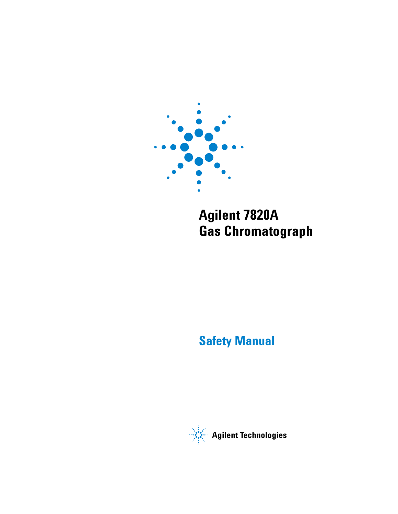

# **Agilent 7820A Gas Chromatograph**

# **Safety Manual**

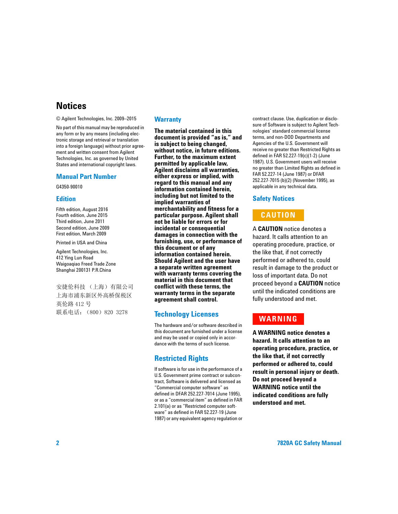## **Notices**

© Agilent Technologies, Inc. 2009–2015

No part of this manual may be reproduced in any form or by any means (including electronic storage and retrieval or translation into a foreign language) without prior agreement and written consent from Agilent Technologies, Inc. as governed by United States and international copyright laws.

### **Manual Part Number**

G4350-90010

### **Edition**

Fifth edition, August 2016 Fourth edition, June 2015 Third edition, June 2011 Second edition, June 2009 First edition, March 2009

Printed in USA and China

Agilent Technologies, Inc. 412 Ying Lun Road Waigoaqiao Freed Trade Zone Shanghai 200131 P.R.China

安捷伦科技 (上海)有限公司 上海市浦东新区外高桥保税区 英伦路 412 号 联系电话: (800) 820 3278

### **Warranty**

**The material contained in this document is provided "as is," and is subject to being changed, without notice, in future editions. Further, to the maximum extent permitted by applicable law, Agilent disclaims all warranties, either express or implied, with regard to this manual and any information contained herein, including but not limited to the implied warranties of merchantability and fitness for a particular purpose. Agilent shall not be liable for errors or for incidental or consequential damages in connection with the furnishing, use, or performance of this document or of any information contained herein. Should Agilent and the user have a separate written agreement with warranty terms covering the material in this document that conflict with these terms, the warranty terms in the separate agreement shall control.**

## **Technology Licenses**

The hardware and/or software described in this document are furnished under a license and may be used or copied only in accordance with the terms of such license.

## **Restricted Rights**

If software is for use in the performance of a U.S. Government prime contract or subcontract, Software is delivered and licensed as "Commercial computer software" as defined in DFAR 252.227-7014 (June 1995), or as a "commercial item" as defined in FAR 2.101(a) or as "Restricted computer software" as defined in FAR 52.227-19 (June 1987) or any equivalent agency regulation or contract clause. Use, duplication or disclosure of Software is subject to Agilent Technologies' standard commercial license terms, and non-DOD Departments and Agencies of the U.S. Government will receive no greater than Restricted Rights as defined in FAR 52.227-19(c)(1-2) (June 1987). U.S. Government users will receive no greater than Limited Rights as defined in FAR 52.227-14 (June 1987) or DFAR 252.227-7015 (b)(2) (November 1995), as applicable in any technical data.

### **Safety Notices**

## **CAUTION**

A **CAUTION** notice denotes a hazard. It calls attention to an operating procedure, practice, or the like that, if not correctly performed or adhered to, could result in damage to the product or loss of important data. Do not proceed beyond a **CAUTION** notice until the indicated conditions are fully understood and met.

## **WARNING**

**A WARNING notice denotes a hazard. It calls attention to an operating procedure, practice, or the like that, if not correctly performed or adhered to, could result in personal injury or death. Do not proceed beyond a WARNING notice until the indicated conditions are fully understood and met.**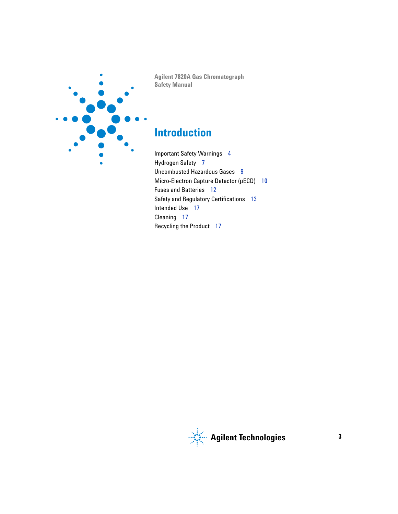

**Agilent 7820A Gas Chromatograph Safety Manual**

# **Introduction**

[Important Safety Warnings 4](#page-3-0) [Hydrogen Safety 7](#page-6-0) [Uncombusted Hazardous Gases 9](#page-8-0) [Micro-Electron Capture Detector \(µECD\) 10](#page-9-0) [Fuses and Batteries 12](#page-11-0) [Safety and Regulatory Certifications 13](#page-12-0) [Intended Use 17](#page-16-0) [Cleaning 17](#page-16-1) [Recycling the Product 17](#page-16-2)

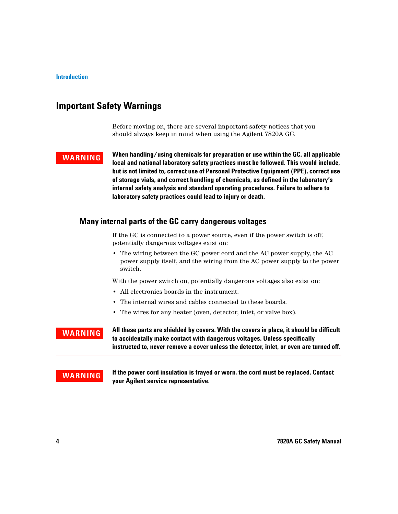## <span id="page-3-0"></span>**Important Safety Warnings**

Before moving on, there are several important safety notices that you should always keep in mind when using the Agilent 7820A GC.

**WARNING When handling/using chemicals for preparation or use within the GC, all applicable local and national laboratory safety practices must be followed. This would include, but is not limited to, correct use of Personal Protective Equipment (PPE), correct use of storage vials, and correct handling of chemicals, as defined in the laboratory's internal safety analysis and standard operating procedures. Failure to adhere to laboratory safety practices could lead to injury or death.**

## **Many internal parts of the GC carry dangerous voltages**

If the GC is connected to a power source, even if the power switch is off, potentially dangerous voltages exist on:

**•** The wiring between the GC power cord and the AC power supply, the AC power supply itself, and the wiring from the AC power supply to the power switch.

With the power switch on, potentially dangerous voltages also exist on:

- **•** All electronics boards in the instrument.
- **•** The internal wires and cables connected to these boards.
- **•** The wires for any heater (oven, detector, inlet, or valve box).

**WARNING** All these parts are shielded by covers. With the covers in place, it should be difficult **to accidentally make contact with dangerous voltages. Unless specifically instructed to, never remove a cover unless the detector, inlet, or oven are turned off.**

**WARNING If the power cord insulation is frayed or worn, the cord must be replaced. Contact your Agilent service representative.**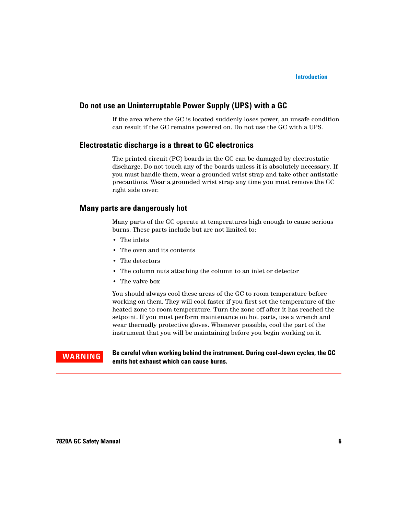### **Introduction**

### **Do not use an Uninterruptable Power Supply (UPS) with a GC**

If the area where the GC is located suddenly loses power, an unsafe condition can result if the GC remains powered on. Do not use the GC with a UPS.

### **Electrostatic discharge is a threat to GC electronics**

The printed circuit (PC) boards in the GC can be damaged by electrostatic discharge. Do not touch any of the boards unless it is absolutely necessary. If you must handle them, wear a grounded wrist strap and take other antistatic precautions. Wear a grounded wrist strap any time you must remove the GC right side cover.

## **Many parts are dangerously hot**

Many parts of the GC operate at temperatures high enough to cause serious burns. These parts include but are not limited to:

- **•** The inlets
- **•** The oven and its contents
- **•** The detectors
- **•** The column nuts attaching the column to an inlet or detector
- **•** The valve box

You should always cool these areas of the GC to room temperature before working on them. They will cool faster if you first set the temperature of the heated zone to room temperature. Turn the zone off after it has reached the setpoint. If you must perform maintenance on hot parts, use a wrench and wear thermally protective gloves. Whenever possible, cool the part of the instrument that you will be maintaining before you begin working on it.

**WARNING Be careful when working behind the instrument. During cool-down cycles, the GC emits hot exhaust which can cause burns.**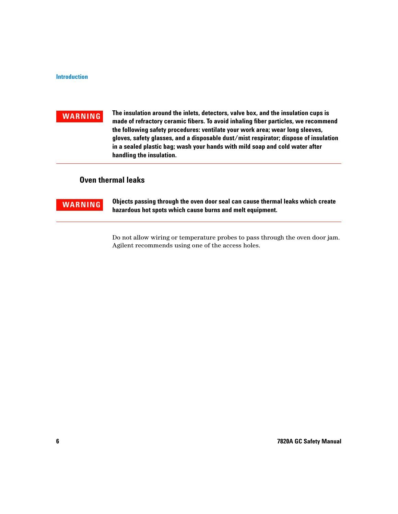**WARNING The insulation around the inlets, detectors, valve box, and the insulation cups is made of refractory ceramic fibers. To avoid inhaling fiber particles, we recommend the following safety procedures: ventilate your work area; wear long sleeves, gloves, safety glasses, and a disposable dust/mist respirator; dispose of insulation in a sealed plastic bag; wash your hands with mild soap and cold water after handling the insulation.**

## **Oven thermal leaks**

**WARNING Objects passing through the oven door seal can cause thermal leaks which create hazardous hot spots which cause burns and melt equipment.**

> Do not allow wiring or temperature probes to pass through the oven door jam. Agilent recommends using one of the access holes.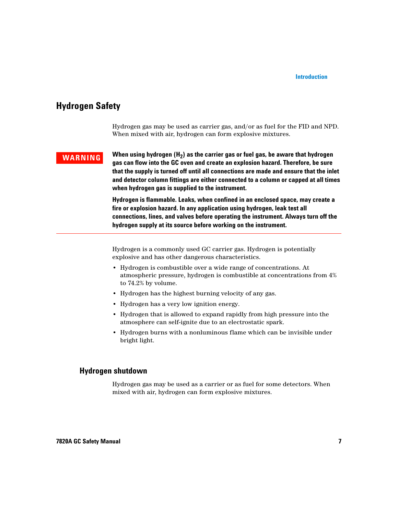## <span id="page-6-0"></span>**Hydrogen Safety**

Hydrogen gas may be used as carrier gas, and/or as fuel for the FID and NPD. When mixed with air, hydrogen can form explosive mixtures.

**WARNING** When using hydrogen (H<sub>2</sub>) as the carrier gas or fuel gas, be aware that hydrogen **gas can flow into the GC oven and create an explosion hazard. Therefore, be sure that the supply is turned off until all connections are made and ensure that the inlet and detector column fittings are either connected to a column or capped at all times when hydrogen gas is supplied to the instrument.**

> **Hydrogen is flammable. Leaks, when confined in an enclosed space, may create a fire or explosion hazard. In any application using hydrogen, leak test all connections, lines, and valves before operating the instrument. Always turn off the hydrogen supply at its source before working on the instrument.**

Hydrogen is a commonly used GC carrier gas. Hydrogen is potentially explosive and has other dangerous characteristics.

- **•** Hydrogen is combustible over a wide range of concentrations. At atmospheric pressure, hydrogen is combustible at concentrations from 4% to 74.2% by volume.
- **•** Hydrogen has the highest burning velocity of any gas.
- **•** Hydrogen has a very low ignition energy.
- **•** Hydrogen that is allowed to expand rapidly from high pressure into the atmosphere can self-ignite due to an electrostatic spark.
- **•** Hydrogen burns with a nonluminous flame which can be invisible under bright light.

## **Hydrogen shutdown**

Hydrogen gas may be used as a carrier or as fuel for some detectors. When mixed with air, hydrogen can form explosive mixtures.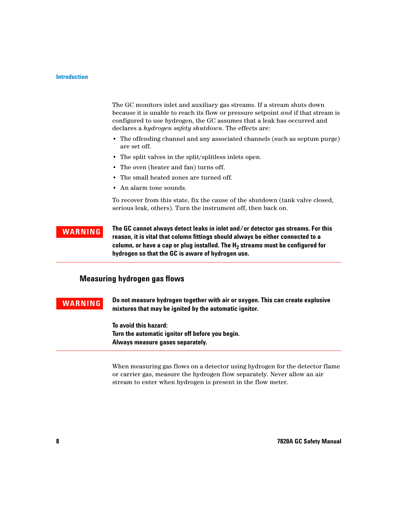The GC monitors inlet and auxiliary gas streams. If a stream shuts down because it is unable to reach its flow or pressure setpoint *and* if that stream is configured to use hydrogen, the GC assumes that a leak has occurred and declares a *hydrogen safety shutdown*. The effects are:

- **•** The offending channel and any associated channels (such as septum purge) are set off.
- **•** The split valves in the split/splitless inlets open.
- **•** The oven (heater and fan) turns off.
- **•** The small heated zones are turned off.
- **•** An alarm tone sounds.

To recover from this state, fix the cause of the shutdown (tank valve closed, serious leak, others). Turn the instrument off, then back on.

**WARNING The GC cannot always detect leaks in inlet and/or detector gas streams. For this reason, it is vital that column fittings should always be either connected to a column, or have a cap or plug installed. The H2 streams must be configured for hydrogen so that the GC is aware of hydrogen use.**

## **Measuring hydrogen gas flows**

**WARNING Do not measure hydrogen together with air or oxygen. This can create explosive mixtures that may be ignited by the automatic ignitor.**

> **To avoid this hazard: Turn the automatic ignitor off before you begin. Always measure gases separately.**

When measuring gas flows on a detector using hydrogen for the detector flame or carrier gas, measure the hydrogen flow separately. Never allow an air stream to enter when hydrogen is present in the flow meter.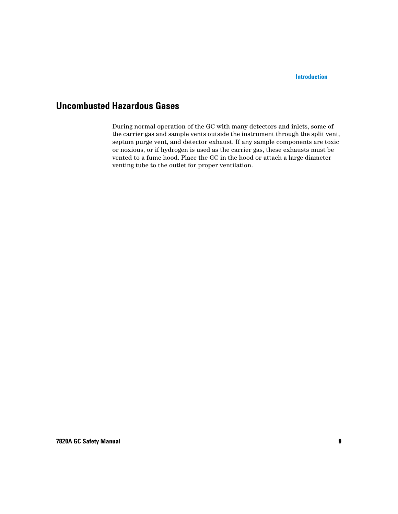## <span id="page-8-0"></span>**Uncombusted Hazardous Gases**

During normal operation of the GC with many detectors and inlets, some of the carrier gas and sample vents outside the instrument through the split vent, septum purge vent, and detector exhaust. If any sample components are toxic or noxious, or if hydrogen is used as the carrier gas, these exhausts must be vented to a fume hood. Place the GC in the hood or attach a large diameter venting tube to the outlet for proper ventilation.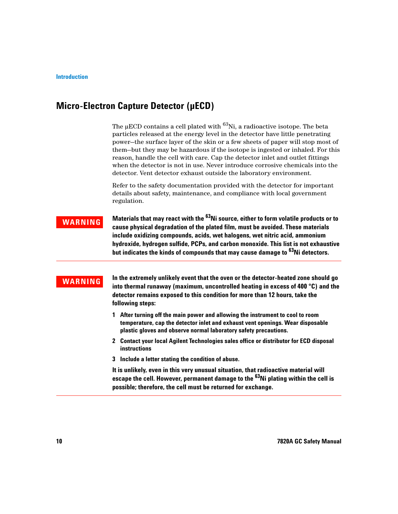## <span id="page-9-0"></span>**Micro-Electron Capture Detector (µECD)**

The μECD contains a cell plated with  $^{63}$ Ni, a radioactive isotope. The beta particles released at the energy level in the detector have little penetrating power—the surface layer of the skin or a few sheets of paper will stop most of them—but they may be hazardous if the isotope is ingested or inhaled. For this reason, handle the cell with care. Cap the detector inlet and outlet fittings when the detector is not in use. Never introduce corrosive chemicals into the detector. Vent detector exhaust outside the laboratory environment.

Refer to the safety documentation provided with the detector for important details about safety, maintenance, and compliance with local government regulation.

**WARNING** Materials that may react with the <sup>63</sup>Ni source, either to form volatile products or to **cause physical degradation of the plated film, must be avoided. These materials include oxidizing compounds, acids, wet halogens, wet nitric acid, ammonium hydroxide, hydrogen sulfide, PCPs, and carbon monoxide. This list is not exhaustive but indicates the kinds of compounds that may cause damage to 63Ni detectors.**

**WARNING** In the extremely unlikely event that the oven or the detector-heated zone should go<br> **into thermal runaway (maximum, uncontrolled heating in excess of 400 °C) and the detector remains exposed to this condition for more than 12 hours, take the following steps:**

- **1 After turning off the main power and allowing the instrument to cool to room temperature, cap the detector inlet and exhaust vent openings. Wear disposable plastic gloves and observe normal laboratory safety precautions.**
- **2 Contact your local Agilent Technologies sales office or distributor for ECD disposal instructions**
- **3 Include a letter stating the condition of abuse.**

**It is unlikely, even in this very unusual situation, that radioactive material will escape the cell. However, permanent damage to the 63Ni plating within the cell is possible; therefore, the cell must be returned for exchange.**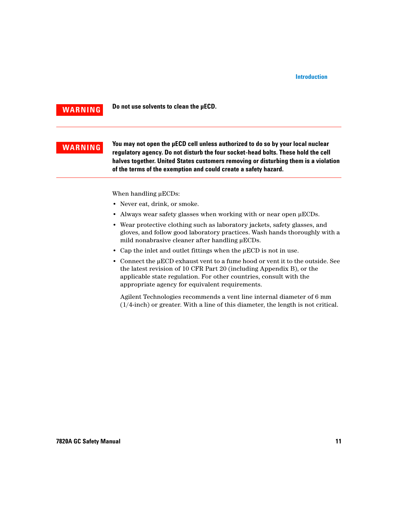**WARNING Do not use solvents to clean the µECD.**

**WARNING** You may not open the µECD cell unless authorized to do so by your local nuclear<br>
The source of the source of the source of the source of the source of the source of the source of the source o **regulatory agency. Do not disturb the four socket-head bolts. These hold the cell halves together. United States customers removing or disturbing them is a violation of the terms of the exemption and could create a safety hazard.**

When handling μECDs:

- **•** Never eat, drink, or smoke.
- **•** Always wear safety glasses when working with or near open μECDs.
- **•** Wear protective clothing such as laboratory jackets, safety glasses, and gloves, and follow good laboratory practices. Wash hands thoroughly with a mild nonabrasive cleaner after handling μECDs.
- **•** Cap the inlet and outlet fittings when the μECD is not in use.
- **•** Connect the μECD exhaust vent to a fume hood or vent it to the outside. See the latest revision of 10 CFR Part 20 (including Appendix B), or the applicable state regulation. For other countries, consult with the appropriate agency for equivalent requirements.

Agilent Technologies recommends a vent line internal diameter of 6 mm (1/4-inch) or greater. With a line of this diameter, the length is not critical.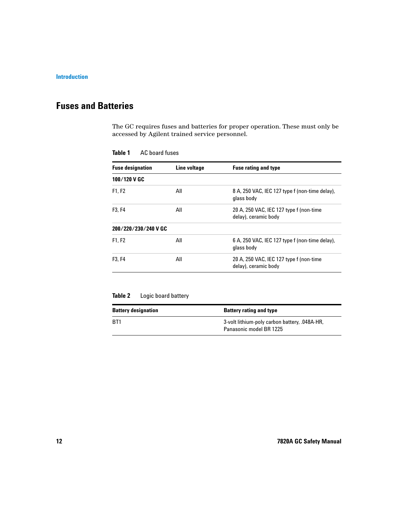## <span id="page-11-0"></span>**Fuses and Batteries**

The GC requires fuses and batteries for proper operation. These must only be accessed by Agilent trained service personnel.

| <b>Fuse designation</b>         | Line voltage | <b>Fuse rating and type</b>                                     |
|---------------------------------|--------------|-----------------------------------------------------------------|
| 100/120 V GC                    |              |                                                                 |
| F1, F2                          | All          | 8 A, 250 VAC, IEC 127 type f (non-time delay),<br>glass body    |
| F <sub>3</sub> . F <sub>4</sub> | All          | 20 A, 250 VAC, IEC 127 type f (non-time<br>delay), ceramic body |
| 200/220/230/240 V GC            |              |                                                                 |
| F1, F2                          | All          | 6 A, 250 VAC, IEC 127 type f (non-time delay),<br>glass body    |
| F3, F4                          | All          | 20 A, 250 VAC, IEC 127 type f (non-time<br>delay), ceramic body |

**Table 1** AC board fuses

## **Table 2** Logic board battery

| <b>Battery designation</b> | <b>Battery rating and type</b>                                           |
|----------------------------|--------------------------------------------------------------------------|
| BT1                        | 3-volt lithium-poly carbon battery, .048A-HR,<br>Panasonic model BR 1225 |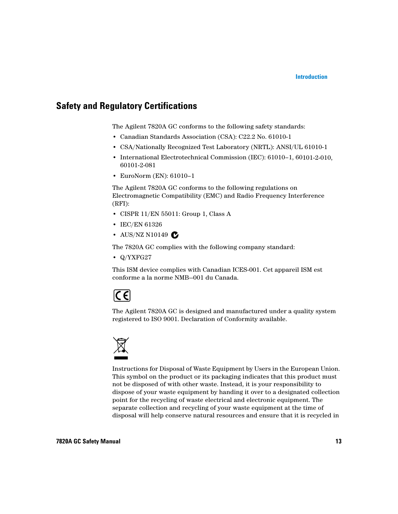## <span id="page-12-0"></span>**Safety and Regulatory Certifications**

The Agilent 7820A GC conforms to the following safety standards:

- **•** Canadian Standards Association (CSA): C22.2 No. 61010-1
- **•** CSA/Nationally Recognized Test Laboratory (NRTL): ANSI/UL 61010-1
- **•** International Electrotechnical Commission (IEC): 61010–1, 60101-2-010, 60101-2-081
- **•** EuroNorm (EN): 61010–1

The Agilent 7820A GC conforms to the following regulations on Electromagnetic Compatibility (EMC) and Radio Frequency Interference (RFI):

- **•** CISPR 11/EN 55011: Group 1, Class A
- **•** IEC/EN 61326
- AUS/NZ N10149 **C**

The 7820A GC complies with the following company standard:

**•** Q/YXFG27

This ISM device complies with Canadian ICES-001. Cet appareil ISM est conforme a la norme NMB—001 du Canada.

# $|C \in \mathcal{C}|$

The Agilent 7820A GC is designed and manufactured under a quality system registered to ISO 9001. Declaration of Conformity available.



Instructions for Disposal of Waste Equipment by Users in the European Union. This symbol on the product or its packaging indicates that this product must not be disposed of with other waste. Instead, it is your responsibility to dispose of your waste equipment by handing it over to a designated collection point for the recycling of waste electrical and electronic equipment. The separate collection and recycling of your waste equipment at the time of disposal will help conserve natural resources and ensure that it is recycled in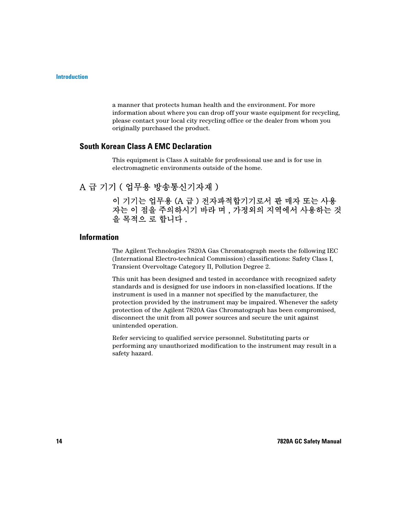a manner that protects human health and the environment. For more information about where you can drop off your waste equipment for recycling, please contact your local city recycling office or the dealer from whom you originally purchased the product.

## **South Korean Class A EMC Declaration**

This equipment is Class A suitable for professional use and is for use in electromagnetic environments outside of the home.

## A 급 기기 ( 업무용 방송통신기자재 )

이 기기는 업무용 (A 급 ) 전자파적합기기로서 판 매자 또는 사용 자는 이 점을 주의하시기 바라 며 , 가정외의 지역에서 사용하는 것 을 목적으 로 합니다 .

### **Information**

The Agilent Technologies 7820A Gas Chromatograph meets the following IEC (International Electro-technical Commission) classifications: Safety Class I, Transient Overvoltage Category II, Pollution Degree 2.

This unit has been designed and tested in accordance with recognized safety standards and is designed for use indoors in non-classified locations. If the instrument is used in a manner not specified by the manufacturer, the protection provided by the instrument may be impaired. Whenever the safety protection of the Agilent 7820A Gas Chromatograph has been compromised, disconnect the unit from all power sources and secure the unit against unintended operation.

Refer servicing to qualified service personnel. Substituting parts or performing any unauthorized modification to the instrument may result in a safety hazard.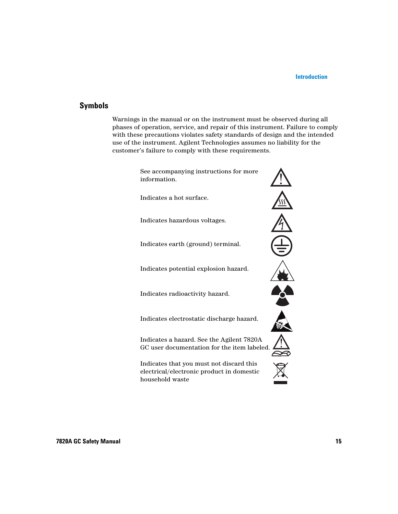## **Symbols**

Warnings in the manual or on the instrument must be observed during all phases of operation, service, and repair of this instrument. Failure to comply with these precautions violates safety standards of design and the intended use of the instrument. Agilent Technologies assumes no liability for the customer's failure to comply with these requirements.

> See accompanying instructions for more information.

Indicates a hot surface.

Indicates hazardous voltages.

Indicates earth (ground) terminal.

Indicates potential explosion hazard.

Indicates radioactivity hazard.

Indicates electrostatic discharge hazard.

Indicates a hazard. See the Agilent 7820A GC user documentation for the item labeled.

Indicates that you must not discard this electrical/electronic product in domestic household waste

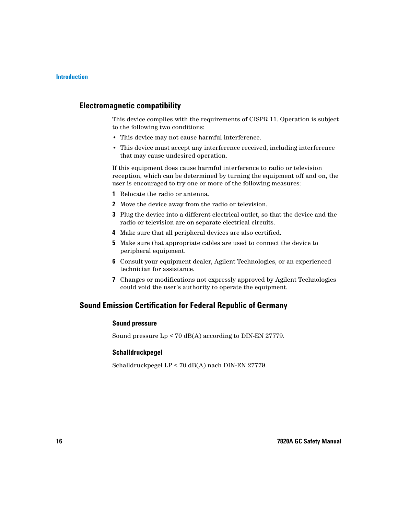## **Electromagnetic compatibility**

This device complies with the requirements of CISPR 11. Operation is subject to the following two conditions:

- **•** This device may not cause harmful interference.
- **•** This device must accept any interference received, including interference that may cause undesired operation.

If this equipment does cause harmful interference to radio or television reception, which can be determined by turning the equipment off and on, the user is encouraged to try one or more of the following measures:

- **1** Relocate the radio or antenna.
- **2** Move the device away from the radio or television.
- **3** Plug the device into a different electrical outlet, so that the device and the radio or television are on separate electrical circuits.
- **4** Make sure that all peripheral devices are also certified.
- **5** Make sure that appropriate cables are used to connect the device to peripheral equipment.
- **6** Consult your equipment dealer, Agilent Technologies, or an experienced technician for assistance.
- **7** Changes or modifications not expressly approved by Agilent Technologies could void the user's authority to operate the equipment.

## **Sound Emission Certification for Federal Republic of Germany**

### **Sound pressure**

Sound pressure Lp < 70 dB(A) according to DIN-EN 27779.

### **Schalldruckpegel**

Schalldruckpegel LP < 70 dB(A) nach DIN-EN 27779.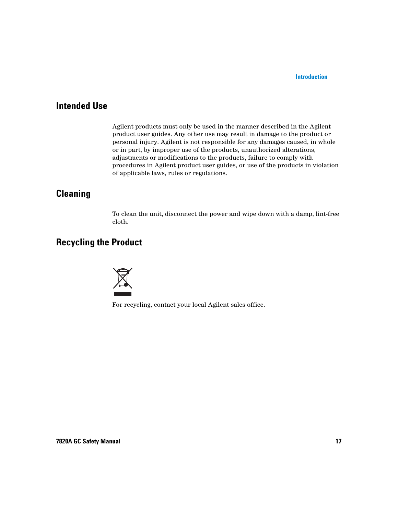## <span id="page-16-0"></span>**Intended Use**

Agilent products must only be used in the manner described in the Agilent product user guides. Any other use may result in damage to the product or personal injury. Agilent is not responsible for any damages caused, in whole or in part, by improper use of the products, unauthorized alterations, adjustments or modifications to the products, failure to comply with procedures in Agilent product user guides, or use of the products in violation of applicable laws, rules or regulations.

## <span id="page-16-1"></span>**Cleaning**

To clean the unit, disconnect the power and wipe down with a damp, lint-free cloth.

## <span id="page-16-2"></span>**Recycling the Product**



For recycling, contact your local Agilent sales office.